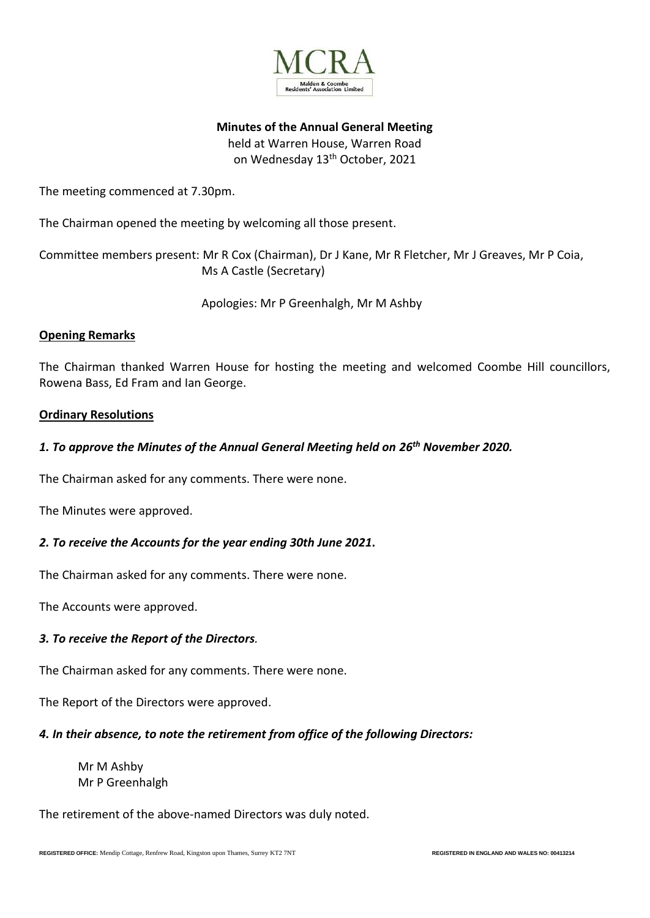

**Minutes of the Annual General Meeting**

held at Warren House, Warren Road on Wednesday 13<sup>th</sup> October, 2021

The meeting commenced at 7.30pm.

The Chairman opened the meeting by welcoming all those present.

Committee members present: Mr R Cox (Chairman), Dr J Kane, Mr R Fletcher, Mr J Greaves, Mr P Coia, Ms A Castle (Secretary)

Apologies: Mr P Greenhalgh, Mr M Ashby

## **Opening Remarks**

The Chairman thanked Warren House for hosting the meeting and welcomed Coombe Hill councillors, Rowena Bass, Ed Fram and Ian George.

## **Ordinary Resolutions**

## *1. To approve the Minutes of the Annual General Meeting held on 26th November 2020.*

The Chairman asked for any comments. There were none.

The Minutes were approved.

# *2. To receive the Accounts for the year ending 30th June 2021***.**

The Chairman asked for any comments. There were none.

The Accounts were approved.

#### *3. To receive the Report of the Directors.*

The Chairman asked for any comments. There were none.

The Report of the Directors were approved.

#### *4. In their absence, to note the retirement from office of the following Directors:*

Mr M Ashby Mr P Greenhalgh

The retirement of the above-named Directors was duly noted.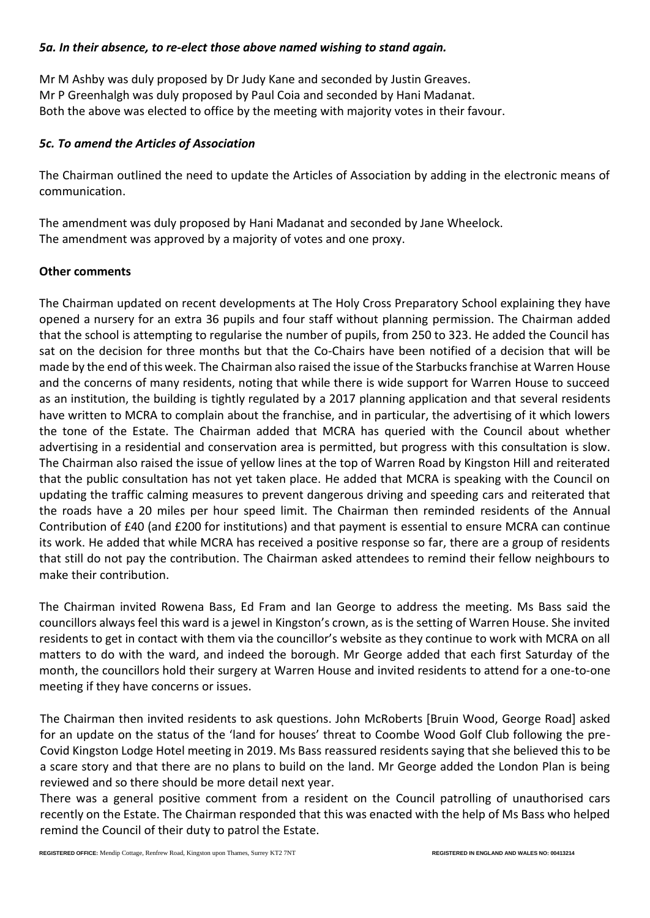### *5a. In their absence, to re-elect those above named wishing to stand again.*

Mr M Ashby was duly proposed by Dr Judy Kane and seconded by Justin Greaves. Mr P Greenhalgh was duly proposed by Paul Coia and seconded by Hani Madanat. Both the above was elected to office by the meeting with majority votes in their favour.

## *5c. To amend the Articles of Association*

The Chairman outlined the need to update the Articles of Association by adding in the electronic means of communication.

The amendment was duly proposed by Hani Madanat and seconded by Jane Wheelock. The amendment was approved by a majority of votes and one proxy.

## **Other comments**

The Chairman updated on recent developments at The Holy Cross Preparatory School explaining they have opened a nursery for an extra 36 pupils and four staff without planning permission. The Chairman added that the school is attempting to regularise the number of pupils, from 250 to 323. He added the Council has sat on the decision for three months but that the Co-Chairs have been notified of a decision that will be made by the end of this week. The Chairman also raised the issue of the Starbucks franchise at Warren House and the concerns of many residents, noting that while there is wide support for Warren House to succeed as an institution, the building is tightly regulated by a 2017 planning application and that several residents have written to MCRA to complain about the franchise, and in particular, the advertising of it which lowers the tone of the Estate. The Chairman added that MCRA has queried with the Council about whether advertising in a residential and conservation area is permitted, but progress with this consultation is slow. The Chairman also raised the issue of yellow lines at the top of Warren Road by Kingston Hill and reiterated that the public consultation has not yet taken place. He added that MCRA is speaking with the Council on updating the traffic calming measures to prevent dangerous driving and speeding cars and reiterated that the roads have a 20 miles per hour speed limit. The Chairman then reminded residents of the Annual Contribution of £40 (and £200 for institutions) and that payment is essential to ensure MCRA can continue its work. He added that while MCRA has received a positive response so far, there are a group of residents that still do not pay the contribution. The Chairman asked attendees to remind their fellow neighbours to make their contribution.

The Chairman invited Rowena Bass, Ed Fram and Ian George to address the meeting. Ms Bass said the councillors always feel this ward is a jewel in Kingston's crown, as is the setting of Warren House. She invited residents to get in contact with them via the councillor's website as they continue to work with MCRA on all matters to do with the ward, and indeed the borough. Mr George added that each first Saturday of the month, the councillors hold their surgery at Warren House and invited residents to attend for a one-to-one meeting if they have concerns or issues.

The Chairman then invited residents to ask questions. John McRoberts [Bruin Wood, George Road] asked for an update on the status of the 'land for houses' threat to Coombe Wood Golf Club following the pre-Covid Kingston Lodge Hotel meeting in 2019. Ms Bass reassured residents saying that she believed this to be a scare story and that there are no plans to build on the land. Mr George added the London Plan is being reviewed and so there should be more detail next year.

There was a general positive comment from a resident on the Council patrolling of unauthorised cars recently on the Estate. The Chairman responded that this was enacted with the help of Ms Bass who helped remind the Council of their duty to patrol the Estate.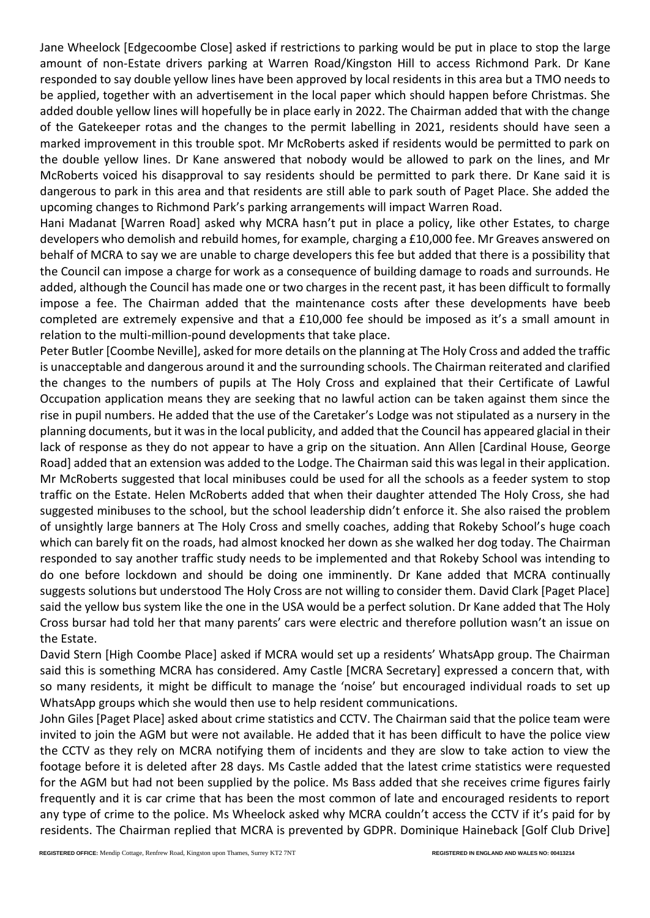Jane Wheelock [Edgecoombe Close] asked if restrictions to parking would be put in place to stop the large amount of non-Estate drivers parking at Warren Road/Kingston Hill to access Richmond Park. Dr Kane responded to say double yellow lines have been approved by local residents in this area but a TMO needs to be applied, together with an advertisement in the local paper which should happen before Christmas. She added double yellow lines will hopefully be in place early in 2022. The Chairman added that with the change of the Gatekeeper rotas and the changes to the permit labelling in 2021, residents should have seen a marked improvement in this trouble spot. Mr McRoberts asked if residents would be permitted to park on the double yellow lines. Dr Kane answered that nobody would be allowed to park on the lines, and Mr McRoberts voiced his disapproval to say residents should be permitted to park there. Dr Kane said it is dangerous to park in this area and that residents are still able to park south of Paget Place. She added the upcoming changes to Richmond Park's parking arrangements will impact Warren Road.

Hani Madanat [Warren Road] asked why MCRA hasn't put in place a policy, like other Estates, to charge developers who demolish and rebuild homes, for example, charging a £10,000 fee. Mr Greaves answered on behalf of MCRA to say we are unable to charge developers this fee but added that there is a possibility that the Council can impose a charge for work as a consequence of building damage to roads and surrounds. He added, although the Council has made one or two charges in the recent past, it has been difficult to formally impose a fee. The Chairman added that the maintenance costs after these developments have beeb completed are extremely expensive and that a £10,000 fee should be imposed as it's a small amount in relation to the multi-million-pound developments that take place.

Peter Butler [Coombe Neville], asked for more details on the planning at The Holy Cross and added the traffic is unacceptable and dangerous around it and the surrounding schools. The Chairman reiterated and clarified the changes to the numbers of pupils at The Holy Cross and explained that their Certificate of Lawful Occupation application means they are seeking that no lawful action can be taken against them since the rise in pupil numbers. He added that the use of the Caretaker's Lodge was not stipulated as a nursery in the planning documents, but it was in the local publicity, and added that the Council has appeared glacial in their lack of response as they do not appear to have a grip on the situation. Ann Allen [Cardinal House, George Road] added that an extension was added to the Lodge. The Chairman said this was legal in their application. Mr McRoberts suggested that local minibuses could be used for all the schools as a feeder system to stop traffic on the Estate. Helen McRoberts added that when their daughter attended The Holy Cross, she had suggested minibuses to the school, but the school leadership didn't enforce it. She also raised the problem of unsightly large banners at The Holy Cross and smelly coaches, adding that Rokeby School's huge coach which can barely fit on the roads, had almost knocked her down as she walked her dog today. The Chairman responded to say another traffic study needs to be implemented and that Rokeby School was intending to do one before lockdown and should be doing one imminently. Dr Kane added that MCRA continually suggests solutions but understood The Holy Cross are not willing to consider them. David Clark [Paget Place] said the yellow bus system like the one in the USA would be a perfect solution. Dr Kane added that The Holy Cross bursar had told her that many parents' cars were electric and therefore pollution wasn't an issue on the Estate.

David Stern [High Coombe Place] asked if MCRA would set up a residents' WhatsApp group. The Chairman said this is something MCRA has considered. Amy Castle [MCRA Secretary] expressed a concern that, with so many residents, it might be difficult to manage the 'noise' but encouraged individual roads to set up WhatsApp groups which she would then use to help resident communications.

John Giles [Paget Place] asked about crime statistics and CCTV. The Chairman said that the police team were invited to join the AGM but were not available. He added that it has been difficult to have the police view the CCTV as they rely on MCRA notifying them of incidents and they are slow to take action to view the footage before it is deleted after 28 days. Ms Castle added that the latest crime statistics were requested for the AGM but had not been supplied by the police. Ms Bass added that she receives crime figures fairly frequently and it is car crime that has been the most common of late and encouraged residents to report any type of crime to the police. Ms Wheelock asked why MCRA couldn't access the CCTV if it's paid for by residents. The Chairman replied that MCRA is prevented by GDPR. Dominique Haineback [Golf Club Drive]